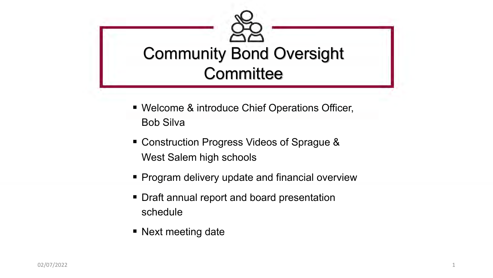

- Welcome & introduce Chief Operations Officer, Bob Silva
- Construction Progress Videos of Sprague & West Salem high schools
- Program delivery update and financial overview
- Draft annual report and board presentation schedule
- Next meeting date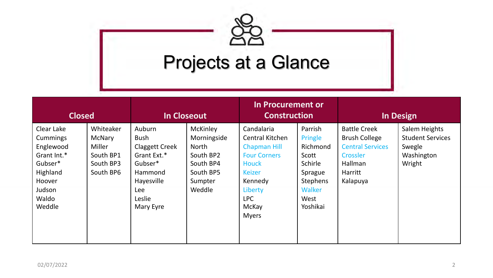# Projects at a Glance

| <b>Closed</b>                                                                                                    |                                                                             |                                                                                                                                        | In Closeout                                                                                                | In Procurement or<br><b>Construction</b>                                                                                                                                  |                                                                                                         |                                                                                                                      | In Design                                                                  |
|------------------------------------------------------------------------------------------------------------------|-----------------------------------------------------------------------------|----------------------------------------------------------------------------------------------------------------------------------------|------------------------------------------------------------------------------------------------------------|---------------------------------------------------------------------------------------------------------------------------------------------------------------------------|---------------------------------------------------------------------------------------------------------|----------------------------------------------------------------------------------------------------------------------|----------------------------------------------------------------------------|
| Clear Lake<br>Cummings<br>Englewood<br>Grant Int.*<br>Gubser*<br>Highland<br>Hoover<br>Judson<br>Waldo<br>Weddle | Whiteaker<br><b>McNary</b><br>Miller<br>South BP1<br>South BP3<br>South BP6 | Auburn<br><b>Bush</b><br><b>Claggett Creek</b><br>Grant Ext.*<br>Gubser*<br>Hammond<br>Hayesville<br><b>Lee</b><br>Leslie<br>Mary Eyre | <b>McKinley</b><br>Morningside<br><b>North</b><br>South BP2<br>South BP4<br>South BP5<br>Sumpter<br>Weddle | Candalaria<br>Central Kitchen<br><b>Chapman Hill</b><br><b>Four Corners</b><br><b>Houck</b><br><b>Keizer</b><br>Kennedy<br>Liberty<br><b>LPC</b><br>McKay<br><b>Myers</b> | Parrish<br>Pringle<br>Richmond<br>Scott<br>Schirle<br>Sprague<br>Stephens<br>Walker<br>West<br>Yoshikai | <b>Battle Creek</b><br><b>Brush College</b><br><b>Central Services</b><br>Crossler<br>Hallman<br>Harritt<br>Kalapuya | Salem Heights<br><b>Student Services</b><br>Swegle<br>Washington<br>Wright |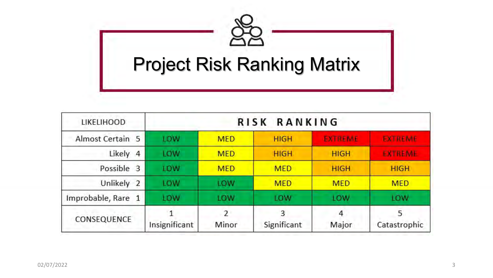

| <b>LIKELIHOOD</b>          |               |            | RANKING<br><b>RISK</b> |                |                   |
|----------------------------|---------------|------------|------------------------|----------------|-------------------|
| Almost Certain 5           | LOW           | <b>MED</b> | <b>HIGH</b>            | <b>EXTREME</b> | <b>EXTREME</b>    |
| Likely<br>$\overline{4}$   | LOW           | <b>MED</b> | <b>HIGH</b>            | <b>HIGH</b>    | <b>EXTREME</b>    |
| Possible<br>3              | LOW           | <b>MED</b> | <b>MED</b>             | <b>HIGH</b>    | <b>HIGH</b>       |
| Unlikely<br>$\overline{2}$ | LOW           | LOW        | <b>MED</b>             | <b>MED</b>     | <b>MED</b>        |
| Improbable, Rare 1         | LOW           | LOW        | LOW                    | <b>LOW</b>     | LOW               |
| CONSEQUENCE                | Insignificant | 2<br>Minor | 3<br>Significant       | 4<br>Major     | 5<br>Catastrophic |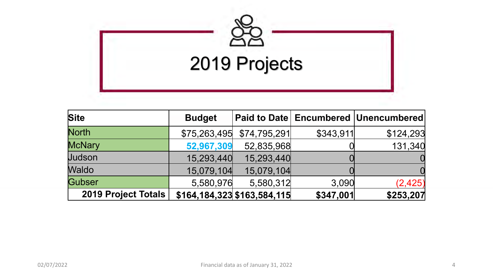

| <b>Site</b>                | <b>Budget</b> |                                   |           | Paid to Date   Encumbered   Unencumbered |
|----------------------------|---------------|-----------------------------------|-----------|------------------------------------------|
| <b>North</b>               | \$75,263,495  | \$74,795,291                      | \$343,911 | \$124,293                                |
| <b>McNary</b>              | 52,967,309    | 52,835,968                        |           | 131,340                                  |
| Judson                     | 15,293,440    | 15,293,440                        |           |                                          |
| <b>Waldo</b>               | 15,079,104    | 15,079,104                        |           |                                          |
| Gubser                     | 5,580,976     | 5,580,312                         | 3,090     | (2, 425)                                 |
| <b>2019 Project Totals</b> |               | $$164, 184, 323$ $$163, 584, 115$ | \$347,001 | \$253,207                                |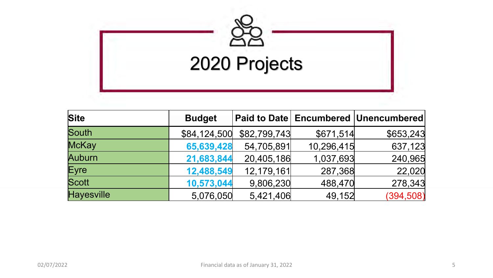

| <b>Site</b>       | <b>Budget</b> |              |            | Paid to Date   Encumbered   Unencumbered |
|-------------------|---------------|--------------|------------|------------------------------------------|
| South             | \$84,124,500  | \$82,799,743 | \$671,514  | \$653,243                                |
| <b>McKay</b>      | 65,639,428    | 54,705,891   | 10,296,415 | 637,123                                  |
| <b>Auburn</b>     | 21,683,844    | 20,405,186   | 1,037,693  | 240,965                                  |
| Eyre              | 12,488,549    | 12,179,161   | 287,368    | 22,020                                   |
| <b>Scott</b>      | 10,573,044    | 9,806,230    | 488,470    | 278,343                                  |
| <b>Hayesville</b> | 5,076,050     | 5,421,406    | 49,152     | (394, 508)                               |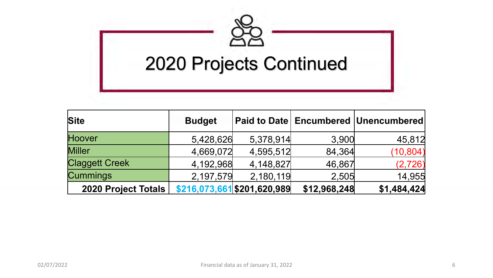

| <b>Site</b>                | <b>Budget</b> |                             |              | Paid to Date  Encumbered  Unencumbered |
|----------------------------|---------------|-----------------------------|--------------|----------------------------------------|
| Hoover                     | 5,428,626     | 5,378,914                   | 3,900        | 45,812                                 |
| <b>Miller</b>              | 4,669,072     | 4,595,512                   | 84,364       | (10, 804)                              |
| <b>Claggett Creek</b>      | 4,192,968     | 4,148,827                   | 46,867       | (2, 726)                               |
| <b>Cummings</b>            | 2,197,579     | 2,180,119                   | 2,505        | 14,955                                 |
| <b>2020 Project Totals</b> |               | \$216,073,661 \$201,620,989 | \$12,968,248 | \$1,484,424                            |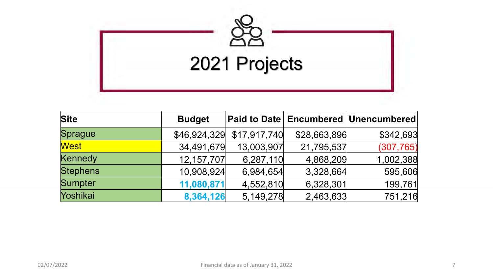

| <b>Site</b>     | <b>Budget</b> |              |              | <b>Paid to Date Encumbered Unencumbered</b> |
|-----------------|---------------|--------------|--------------|---------------------------------------------|
| Sprague         | \$46,924,329  | \$17,917,740 | \$28,663,896 | \$342,693                                   |
| <b>West</b>     | 34,491,679    | 13,003,907   | 21,795,537   | (307, 765)                                  |
| Kennedy         | 12, 157, 707  | 6,287,110    | 4,868,209    | 1,002,388                                   |
| <b>Stephens</b> | 10,908,924    | 6,984,654    | 3,328,664    | 595,606                                     |
| <b>Sumpter</b>  | 11,080,871    | 4,552,810    | 6,328,301    | 199,761                                     |
| Yoshikai        | 8,364,126     | 5,149,278    | 2,463,633    | 751,216                                     |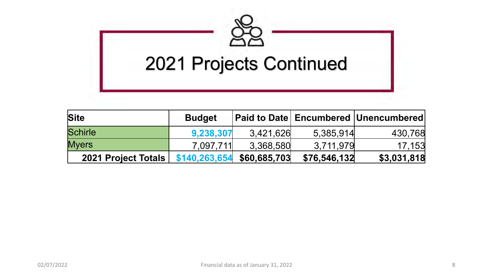

| <b>Site</b>         | <b>Budget</b> |              |              | <b>Paid to Date   Encumbered   Unencumbered  </b> |
|---------------------|---------------|--------------|--------------|---------------------------------------------------|
| <b>Schirle</b>      | 9,238,307     | 3,421,626    | 5,385,914    | 430,768                                           |
| <b>Myers</b>        | 7,097,711     | 3,368,580    | 3,711,979    | 17,153                                            |
| 2021 Project Totals | \$140,263,654 | \$60,685,703 | \$76,546,132 | \$3,031,818                                       |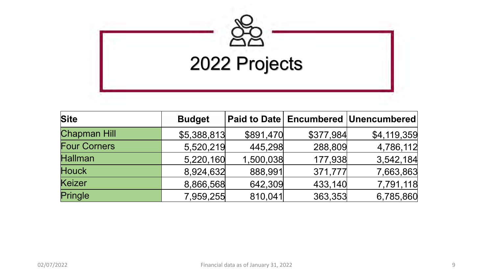

| <b>Site</b>         | <b>Budget</b> |           |           | Paid to Date   Encumbered   Unencumbered |
|---------------------|---------------|-----------|-----------|------------------------------------------|
| <b>Chapman Hill</b> | \$5,388,813   | \$891,470 | \$377,984 | \$4,119,359                              |
| <b>Four Corners</b> | 5,520,219     | 445,298   | 288,809   | 4,786,112                                |
| <b>Hallman</b>      | 5,220,160     | 1,500,038 | 177,938   | 3,542,184                                |
| <b>Houck</b>        | 8,924,632     | 888,991   | 371,777   | 7,663,863                                |
| Keizer              | 8,866,568     | 642,309   | 433,140   | 7,791,118                                |
| Pringle             | 7,959,255     | 810,041   | 363,353   | 6,785,860                                |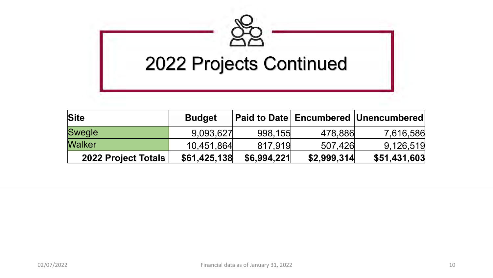

| <b>Site</b>                | <b>Budget</b> |             |             | Paid to Date   Encumbered   Unencumbered |
|----------------------------|---------------|-------------|-------------|------------------------------------------|
| <b>Swegle</b>              | 9,093,627     | 998,155     | 478,886     | 7,616,586                                |
| <b>Walker</b>              | 10,451,864    | 817,919     | 507,426     | 9,126,519                                |
| <b>2022 Project Totals</b> | \$61,425,138  | \$6,994,221 | \$2,999,314 | \$51,431,603                             |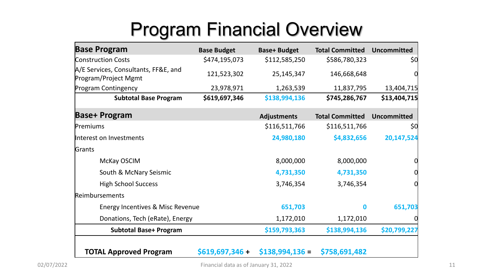# Program Financial Overview

| <b>Base Program</b>                                          | <b>Base Budget</b> | <b>Base+ Budget</b> | <b>Total Committed</b> | <b>Uncommitted</b> |
|--------------------------------------------------------------|--------------------|---------------------|------------------------|--------------------|
| <b>Construction Costs</b>                                    | \$474,195,073      | \$112,585,250       | \$586,780,323          | \$0                |
| A/E Services, Consultants, FF&E, and<br>Program/Project Mgmt | 121,523,302        | 25, 145, 347        | 146,668,648            | 0                  |
| <b>Program Contingency</b>                                   | 23,978,971         | 1,263,539           | 11,837,795             | 13,404,715         |
| <b>Subtotal Base Program</b>                                 | \$619,697,346      | \$138,994,136       | \$745,286,767          | \$13,404,715       |
| <b>Base+ Program</b>                                         |                    | <b>Adjustments</b>  | <b>Total Committed</b> | <b>Uncommitted</b> |
| Premiums                                                     |                    | \$116,511,766       | \$116,511,766          | \$0                |
| Interest on Investments                                      |                    | 24,980,180          | \$4,832,656            | 20,147,524         |
| Grants                                                       |                    |                     |                        |                    |
| McKay OSCIM                                                  |                    | 8,000,000           | 8,000,000              |                    |
| South & McNary Seismic                                       |                    | 4,731,350           | 4,731,350              |                    |
| <b>High School Success</b>                                   |                    | 3,746,354           | 3,746,354              |                    |
| Reimbursements                                               |                    |                     |                        |                    |
| Energy Incentives & Misc Revenue                             |                    | 651,703             | O                      | 651,703            |
| Donations, Tech (eRate), Energy                              |                    | 1,172,010           | 1,172,010              |                    |
| <b>Subtotal Base+ Program</b>                                |                    | \$159,793,363       | \$138,994,136          | \$20,799,227       |
| <b>TOTAL Approved Program</b>                                | $$619,697,346 +$   | $$138,994,136 =$    | \$758,691,482          |                    |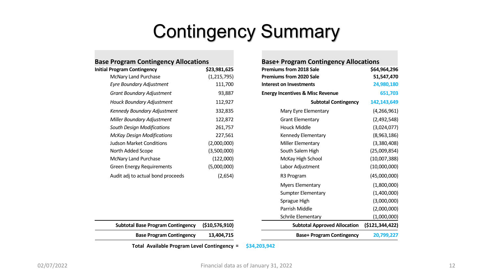## Contingency Summary

| <b>Base Program Contingency Allocations</b> |                                             |                                              |
|---------------------------------------------|---------------------------------------------|----------------------------------------------|
| \$23,981,625                                | <b>Premiums from 2018 Sale</b>              | \$64                                         |
| (1,215,795)                                 | <b>Premiums from 2020 Sale</b>              | 51                                           |
| 111,700                                     | Interest on Investments                     | 24                                           |
| 93,887                                      | <b>Energy Incentives &amp; Misc Revenue</b> |                                              |
| 112,927                                     | <b>Subtotal Contingency</b>                 | 142                                          |
| 332,835                                     | Mary Eyre Elementary                        | (4,                                          |
| 122,872                                     | <b>Grant Elementary</b>                     | (2,                                          |
| 261,757                                     | Houck Middle                                | (3,                                          |
| 227,561                                     | Kennedy Elementary                          | (8,                                          |
| (2,000,000)                                 | Miller Elementary                           | (3,                                          |
| (3,500,000)                                 | South Salem High                            | (25,                                         |
| (122,000)                                   | McKay High School                           | (10,                                         |
| (5,000,000)                                 | Labor Adjustment                            | (10,                                         |
| (2,654)                                     | R3 Program                                  | (45,                                         |
|                                             |                                             | <b>Base+ Program Contingency Allocations</b> |

| <b>Base Program Contingency Allocations</b> |                | <b>Base+ Program Contingency Allocations</b> |                 |
|---------------------------------------------|----------------|----------------------------------------------|-----------------|
| <b>Initial Program Contingency</b>          | \$23,981,625   | <b>Premiums from 2018 Sale</b>               | \$64,964,296    |
| McNary Land Purchase                        | (1, 215, 795)  | <b>Premiums from 2020 Sale</b>               | 51,547,470      |
| Eyre Boundary Adjustment                    | 111,700        | <b>Interest on Investments</b>               | 24,980,180      |
| <b>Grant Boundary Adjustment</b>            | 93,887         | <b>Energy Incentives &amp; Misc Revenue</b>  | 651,703         |
| Houck Boundary Adjustment                   | 112,927        | <b>Subtotal Contingency</b>                  | 142,143,649     |
| Kennedy Boundary Adjustment                 | 332,835        | Mary Eyre Elementary                         | (4, 266, 961)   |
| Miller Boundary Adjustment                  | 122,872        | <b>Grant Elementary</b>                      | (2,492,548)     |
| South Design Modifications                  | 261,757        | <b>Houck Middle</b>                          | (3,024,077)     |
| <b>McKay Design Modifications</b>           | 227,561        | Kennedy Elementary                           | (8,963,186)     |
| <b>Judson Market Conditions</b>             | (2,000,000)    | Miller Elementary                            | (3,380,408)     |
| North Added Scope                           | (3,500,000)    | South Salem High                             | (25,009,854)    |
| McNary Land Purchase                        | (122,000)      | McKay High School                            | (10,007,388)    |
| <b>Green Energy Requirements</b>            | (5,000,000)    | Labor Adjustment                             | (10,000,000)    |
| Audit adj to actual bond proceeds           | (2,654)        | R3 Program                                   | (45,000,000)    |
|                                             |                | <b>Myers Elementary</b>                      | (1,800,000)     |
|                                             |                | <b>Sumpter Elementary</b>                    | (1,400,000)     |
|                                             |                | Sprague High                                 | (3,000,000)     |
|                                             |                | Parrish Middle                               | (2,000,000)     |
|                                             |                | Schrile Elementary                           | (1,000,000)     |
| <b>Subtotal Base Program Contingency</b>    | (\$10,576,910) | <b>Subtotal Approved Allocation</b>          | (\$121,344,422) |
| <b>Base Program Contingency</b>             | 13,404,715     | <b>Base+ Program Contingency</b>             | 20,799,227      |

**Total Available Program Level Contingency = \$34,203,942**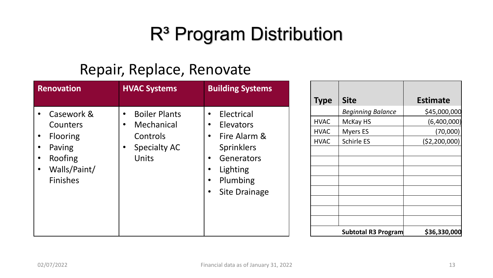# R<sup>3</sup> Program Distribution

### Repair, Replace, Renovate

| <b>Renovation</b>                                                                                                                                     | <b>HVAC Systems</b>                                                                                                   | <b>Building Systems</b>                                                                                                                                                                                               |
|-------------------------------------------------------------------------------------------------------------------------------------------------------|-----------------------------------------------------------------------------------------------------------------------|-----------------------------------------------------------------------------------------------------------------------------------------------------------------------------------------------------------------------|
| Casework &<br>$\bullet$<br>Counters<br><b>Flooring</b><br>$\bullet$<br>Paving<br>$\bullet$<br>Roofing<br>Walls/Paint/<br>$\bullet$<br><b>Finishes</b> | <b>Boiler Plants</b><br>$\bullet$<br>Mechanical<br>$\bullet$<br>Controls<br><b>Specialty AC</b><br>$\bullet$<br>Units | Electrical<br>$\bullet$<br>Elevators<br>$\bullet$<br>Fire Alarm &<br>$\bullet$<br><b>Sprinklers</b><br>Generators<br>$\bullet$<br>Lighting<br>$\bullet$<br>Plumbing<br>$\bullet$<br><b>Site Drainage</b><br>$\bullet$ |

| <b>Type</b>                | <b>Site</b>              | <b>Estimate</b> |
|----------------------------|--------------------------|-----------------|
|                            | <b>Beginning Balance</b> | \$45,000,000    |
| <b>HVAC</b>                | McKay HS                 | (6,400,000)     |
| <b>HVAC</b>                | <b>Myers ES</b>          | (70,000)        |
| <b>HVAC</b>                | <b>Schirle ES</b>        | (\$2,200,000)   |
|                            |                          |                 |
|                            |                          |                 |
|                            |                          |                 |
|                            |                          |                 |
|                            |                          |                 |
|                            |                          |                 |
|                            |                          |                 |
|                            |                          |                 |
| <b>Subtotal R3 Program</b> |                          | \$36,330,000    |